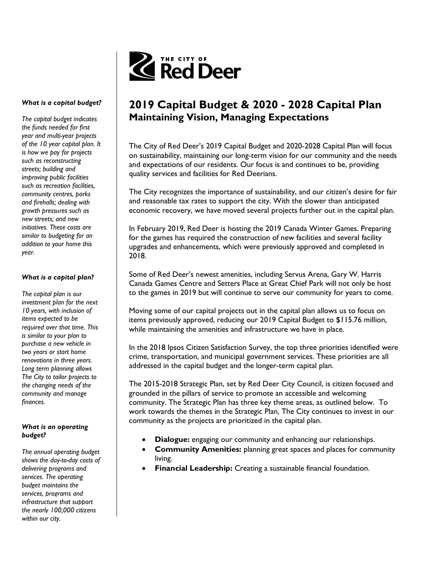

# 2019 Capital Budget & 2020 - 2028 Capital Plan Maintaining Vision, Managing Expectations

The City of Red Deer's 2019 Capital Budget and 2020-2028 Capital Plan will focus on sustainability, maintaining our long-term vision for our community and the needs and expectations of our residents. Our focus is and continues to be, providing quality services and facilities for Red Deerians.

The City recognizes the importance of sustainability, and our citizen's desire for fair and reasonable tax rates to support the city. With the slower than anticipated economic recovery, we have moved several projects further out in the capital plan.

In February 2019, Red Deer is hosting the 2019 Canada Winter Games. Preparing for the games has required the construction of new facilities and several facility upgrades and enhancements, which were previously approved and completed in 2018.

Some of Red Deer's newest amenities, including Servus Arena, Gary W. Harris Canada Games Centre and Setters Place at Great Chief Park will not only be host to the games in 2019 but will continue to serve our community for years to come.

Moving some of our capital projects out in the capital plan allows us to focus on items previously approved, reducing our 2019 Capital Budget to \$115.76 million, while maintaining the amenities and infrastructure we have in place.

In the 2018 Ipsos Citizen Satisfaction Survey, the top three priorities identified were crime, transportation, and municipal government services. These priorities are all addressed in the capital budget and the longer-term capital plan.

The 2015-2018 Strategic Plan, set by Red Deer City Council, is citizen focused and grounded in the pillars of service to promote an accessible and welcoming community. The Strategic Plan has three key theme areas, as outlined below. To work towards the themes in the Strategic Plan, The City continues to invest in our community as the projects are prioritized in the capital plan.

- Dialogue: engaging our community and enhancing our relationships.
- Community Amenities: planning great spaces and places for community living.
- Financial Leadership: Creating a sustainable financial foundation.

#### What is a capital budget?

The capital budget indicates the funds needed for first year and multi-year projects of the 10 year capital plan. It is how we pay for projects such as reconstructing streets; building and improving public facilities such as recreation facilities, community centres, parks and firehalls; dealing with growth pressures such as new streets; and new initiatives. These costs are similar to budgeting for an addition to your home this year.

### What is a capital plan?

The capital plan is our investment plan for the next 10 years, with inclusion of items expected to be required over that time. This is similar to your plan to purchase a new vehicle in two years or start home renovations in three years. Long term planning allows The City to tailor projects to the changing needs of the community and manage finances.

#### What is an operating budget?

The annual operating budget shows the day-to-day costs of delivering programs and services. The operating budget maintains the services, programs and infrastructure that support the nearly 100,000 citizens within our city.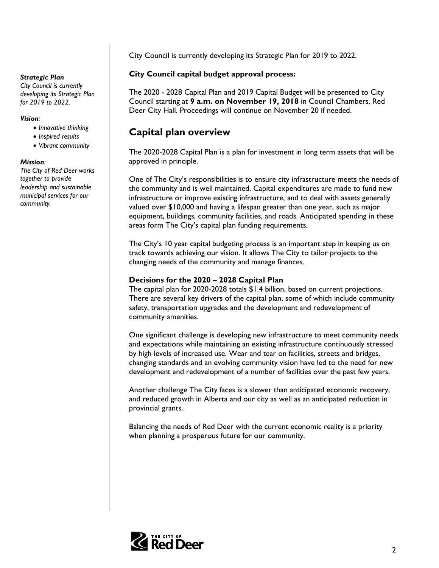#### Strategic Plan

City Council is currently developing its Strategic Plan for 2019 to 2022.

#### Vision:

- Why do we need a 10 year • Innovative thinking
	- Inspired results
- Vibrant community

## $M$ ission: We use a long-term basis  $\mathcal{M}$

The City of Red Deer works together to provide leadership and sustainable municipal services for our  ${\sf community}.$ 

City Council is currently developing its Strategic Plan for 2019 to 2022.

## City Council capital budget approval process:

The 2020 - 2028 Capital Plan and 2019 Capital Budget will be presented to City Council starting at 9 a.m. on November 19, 2018 in Council Chambers, Red Deer City Hall. Proceedings will continue on November 20 if needed.

## Capital plan overview

The 2020-2028 Capital Plan is a plan for investment in long term assets that will be approved in principle.

One of The City's responsibilities is to ensure city infrastructure meets the needs of the community and is well maintained. Capital expenditures are made to fund new infrastructure or improve existing infrastructure, and to deal with assets generally valued over \$10,000 and having a lifespan greater than one year, such as major equipment, buildings, community facilities, and roads. Anticipated spending in these areas form The City's capital plan funding requirements.

The City's 10 year capital budgeting process is an important step in keeping us on track towards achieving our vision. It allows The City to tailor projects to the changing needs of the community and manage finances.

### Decisions for the 2020 – 2028 Capital Plan

The capital plan for 2020-2028 totals \$1.4 billion, based on current projections. There are several key drivers of the capital plan, some of which include community safety, transportation upgrades and the development and redevelopment of community amenities.

One significant challenge is developing new infrastructure to meet community needs and expectations while maintaining an existing infrastructure continuously stressed by high levels of increased use. Wear and tear on facilities, streets and bridges, changing standards and an evolving community vision have led to the need for new development and redevelopment of a number of facilities over the past few years.

Another challenge The City faces is a slower than anticipated economic recovery, and reduced growth in Alberta and our city as well as an anticipated reduction in provincial grants.

Balancing the needs of Red Deer with the current economic reality is a priority when planning a prosperous future for our community.

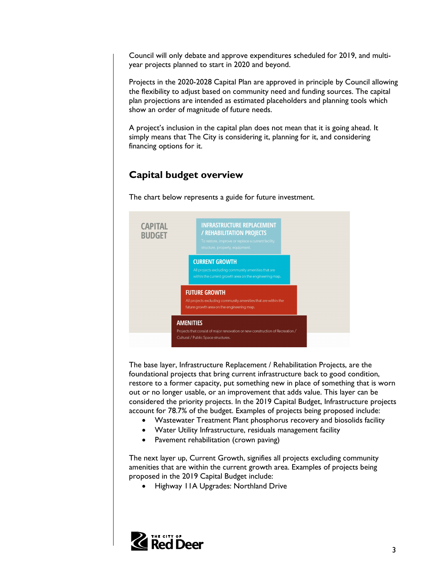Council will only debate and approve expenditures scheduled for 2019, and multiyear projects planned to start in 2020 and beyond.

Projects in the 2020-2028 Capital Plan are approved in principle by Council allowing the flexibility to adjust based on community need and funding sources. The capital plan projections are intended as estimated placeholders and planning tools which show an order of magnitude of future needs.

A project's inclusion in the capital plan does not mean that it is going ahead. It simply means that The City is considering it, planning for it, and considering financing options for it.

# Capital budget overview

The chart below represents a guide for future investment.



The base layer, Infrastructure Replacement / Rehabilitation Projects, are the foundational projects that bring current infrastructure back to good condition, restore to a former capacity, put something new in place of something that is worn out or no longer usable, or an improvement that adds value. This layer can be considered the priority projects. In the 2019 Capital Budget, Infrastructure projects account for 78.7% of the budget. Examples of projects being proposed include:

- Wastewater Treatment Plant phosphorus recovery and biosolids facility
- Water Utility Infrastructure, residuals management facility
- Pavement rehabilitation (crown paving)

The next layer up, Current Growth, signifies all projects excluding community amenities that are within the current growth area. Examples of projects being proposed in the 2019 Capital Budget include:

Highway 11A Upgrades: Northland Drive

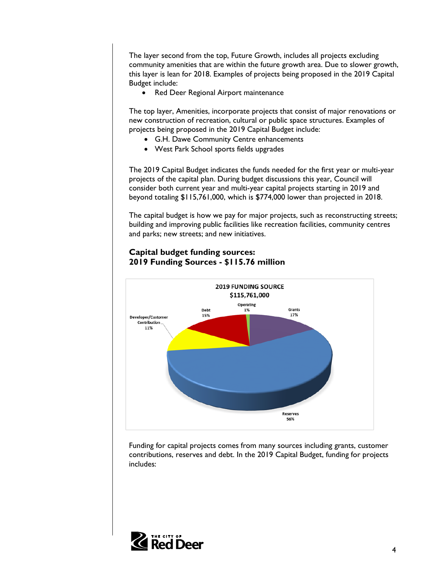The layer second from the top, Future Growth, includes all projects excluding community amenities that are within the future growth area. Due to slower growth, this layer is lean for 2018. Examples of projects being proposed in the 2019 Capital Budget include:

• Red Deer Regional Airport maintenance

The top layer, Amenities, incorporate projects that consist of major renovations or new construction of recreation, cultural or public space structures. Examples of projects being proposed in the 2019 Capital Budget include:

- G.H. Dawe Community Centre enhancements
- West Park School sports fields upgrades

The 2019 Capital Budget indicates the funds needed for the first year or multi-year projects of the capital plan. During budget discussions this year, Council will consider both current year and multi-year capital projects starting in 2019 and beyond totaling \$115,761,000, which is \$774,000 lower than projected in 2018.

The capital budget is how we pay for major projects, such as reconstructing streets; building and improving public facilities like recreation facilities, community centres and parks; new streets; and new initiatives.

## Capital budget funding sources: 2019 Funding Sources - \$115.76 million



Funding for capital projects comes from many sources including grants, customer contributions, reserves and debt. In the 2019 Capital Budget, funding for projects includes:

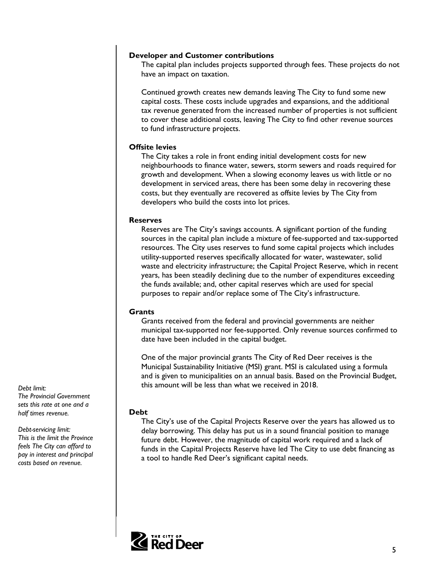#### Developer and Customer contributions

The capital plan includes projects supported through fees. These projects do not have an impact on taxation.

Continued growth creates new demands leaving The City to fund some new capital costs. These costs include upgrades and expansions, and the additional tax revenue generated from the increased number of properties is not sufficient to cover these additional costs, leaving The City to find other revenue sources to fund infrastructure projects.

#### Offsite levies

The City takes a role in front ending initial development costs for new neighbourhoods to finance water, sewers, storm sewers and roads required for growth and development. When a slowing economy leaves us with little or no development in serviced areas, there has been some delay in recovering these costs, but they eventually are recovered as offsite levies by The City from developers who build the costs into lot prices.

#### Reserves

Reserves are The City's savings accounts. A significant portion of the funding sources in the capital plan include a mixture of fee-supported and tax-supported resources. The City uses reserves to fund some capital projects which includes utility-supported reserves specifically allocated for water, wastewater, solid waste and electricity infrastructure; the Capital Project Reserve, which in recent years, has been steadily declining due to the number of expenditures exceeding the funds available; and, other capital reserves which are used for special purposes to repair and/or replace some of The City's infrastructure.

#### **Grants**

Grants received from the federal and provincial governments are neither municipal tax-supported nor fee-supported. Only revenue sources confirmed to date have been included in the capital budget.

One of the major provincial grants The City of Red Deer receives is the Municipal Sustainability Initiative (MSI) grant. MSI is calculated using a formula and is given to municipalities on an annual basis. Based on the Provincial Budget, this amount will be less than what we received in 2018.

#### Debt

The City's use of the Capital Projects Reserve over the years has allowed us to delay borrowing. This delay has put us in a sound financial position to manage future debt. However, the magnitude of capital work required and a lack of funds in the Capital Projects Reserve have led The City to use debt financing as a tool to handle Red Deer's significant capital needs.



Debt limit: The Provincial Government sets this rate at one and a half times revenue.

# Debt-servicing limit:

This is the limit the Province feels The City can afford to pay in interest and principal costs based on revenue.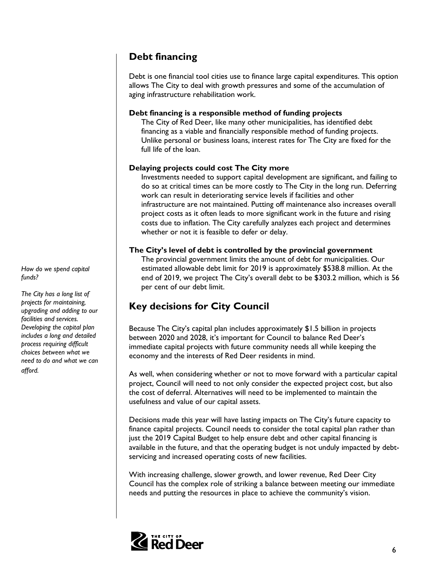## Debt financing

Debt is one financial tool cities use to finance large capital expenditures. This option allows The City to deal with growth pressures and some of the accumulation of aging infrastructure rehabilitation work.

### Debt financing is a responsible method of funding projects

The City of Red Deer, like many other municipalities, has identified debt financing as a viable and financially responsible method of funding projects. Unlike personal or business loans, interest rates for The City are fixed for the full life of the loan.

## Delaying projects could cost The City more

Investments needed to support capital development are significant, and failing to do so at critical times can be more costly to The City in the long run. Deferring work can result in deteriorating service levels if facilities and other infrastructure are not maintained. Putting off maintenance also increases overall project costs as it often leads to more significant work in the future and rising costs due to inflation. The City carefully analyzes each project and determines whether or not it is feasible to defer or delay.

## The City's level of debt is controlled by the provincial government

The provincial government limits the amount of debt for municipalities. Our estimated allowable debt limit for 2019 is approximately \$538.8 million. At the end of 2019, we project The City's overall debt to be \$303.2 million, which is 56 per cent of our debt limit.

## Key decisions for City Council

Because The City's capital plan includes approximately \$1.5 billion in projects between 2020 and 2028, it's important for Council to balance Red Deer's immediate capital projects with future community needs all while keeping the economy and the interests of Red Deer residents in mind.

As well, when considering whether or not to move forward with a particular capital project, Council will need to not only consider the expected project cost, but also the cost of deferral. Alternatives will need to be implemented to maintain the usefulness and value of our capital assets.

Decisions made this year will have lasting impacts on The City's future capacity to finance capital projects. Council needs to consider the total capital plan rather than just the 2019 Capital Budget to help ensure debt and other capital financing is available in the future, and that the operating budget is not unduly impacted by debtservicing and increased operating costs of new facilities.

With increasing challenge, slower growth, and lower revenue, Red Deer City Council has the complex role of striking a balance between meeting our immediate needs and putting the resources in place to achieve the community's vision.



How do we spend capital funds?

The City has a long list of projects for maintaining, upgrading and adding to our facilities and services. Developing the capital plan includes a long and detailed process requiring difficult choices between what we need to do and what we can afford.